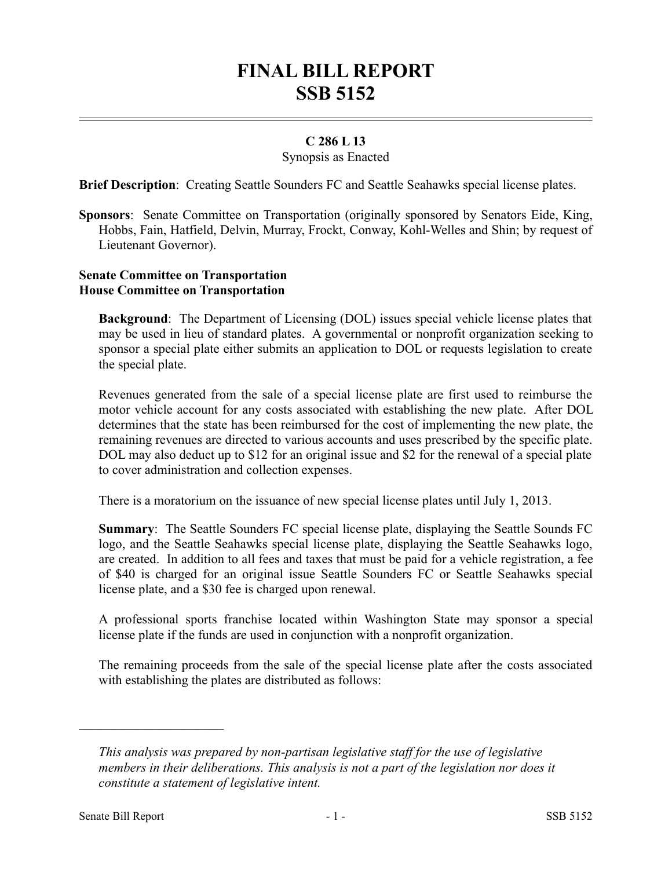# **FINAL BILL REPORT SSB 5152**

## **C 286 L 13**

### Synopsis as Enacted

**Brief Description**: Creating Seattle Sounders FC and Seattle Seahawks special license plates.

**Sponsors**: Senate Committee on Transportation (originally sponsored by Senators Eide, King, Hobbs, Fain, Hatfield, Delvin, Murray, Frockt, Conway, Kohl-Welles and Shin; by request of Lieutenant Governor).

### **Senate Committee on Transportation House Committee on Transportation**

**Background**: The Department of Licensing (DOL) issues special vehicle license plates that may be used in lieu of standard plates. A governmental or nonprofit organization seeking to sponsor a special plate either submits an application to DOL or requests legislation to create the special plate.

Revenues generated from the sale of a special license plate are first used to reimburse the motor vehicle account for any costs associated with establishing the new plate. After DOL determines that the state has been reimbursed for the cost of implementing the new plate, the remaining revenues are directed to various accounts and uses prescribed by the specific plate. DOL may also deduct up to \$12 for an original issue and \$2 for the renewal of a special plate to cover administration and collection expenses.

There is a moratorium on the issuance of new special license plates until July 1, 2013.

**Summary**: The Seattle Sounders FC special license plate, displaying the Seattle Sounds FC logo, and the Seattle Seahawks special license plate, displaying the Seattle Seahawks logo, are created. In addition to all fees and taxes that must be paid for a vehicle registration, a fee of \$40 is charged for an original issue Seattle Sounders FC or Seattle Seahawks special license plate, and a \$30 fee is charged upon renewal.

A professional sports franchise located within Washington State may sponsor a special license plate if the funds are used in conjunction with a nonprofit organization.

The remaining proceeds from the sale of the special license plate after the costs associated with establishing the plates are distributed as follows:

––––––––––––––––––––––

*This analysis was prepared by non-partisan legislative staff for the use of legislative members in their deliberations. This analysis is not a part of the legislation nor does it constitute a statement of legislative intent.*